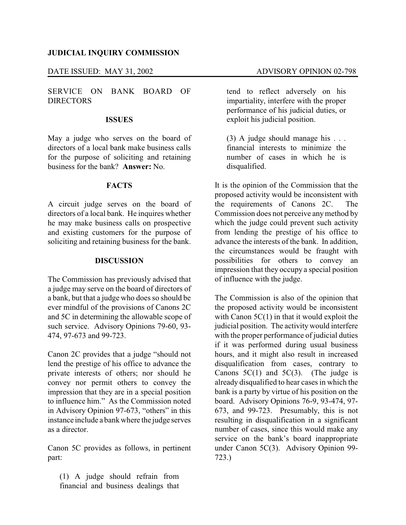#### **JUDICIAL INQUIRY COMMISSION**

#### DATE ISSUED: MAY 31, 2002 ADVISORY OPINION 02-798

SERVICE ON BANK BOARD OF DIRECTORS

#### **ISSUES**

May a judge who serves on the board of directors of a local bank make business calls for the purpose of soliciting and retaining business for the bank? **Answer:** No.

### **FACTS**

A circuit judge serves on the board of directors of a local bank. He inquires whether he may make business calls on prospective and existing customers for the purpose of soliciting and retaining business for the bank.

## **DISCUSSION**

The Commission has previously advised that a judge may serve on the board of directors of a bank, but that a judge who does so should be ever mindful of the provisions of Canons 2C and 5C in determining the allowable scope of such service. Advisory Opinions 79-60, 93- 474, 97-673 and 99-723.

Canon 2C provides that a judge "should not lend the prestige of his office to advance the private interests of others; nor should he convey nor permit others to convey the impression that they are in a special position to influence him." As the Commission noted in Advisory Opinion 97-673, "others" in this instance include a bank where the judge serves as a director.

Canon 5C provides as follows, in pertinent part:

(1) A judge should refrain from financial and business dealings that tend to reflect adversely on his impartiality, interfere with the proper performance of his judicial duties, or exploit his judicial position.

(3) A judge should manage his . . . financial interests to minimize the number of cases in which he is disqualified.

It is the opinion of the Commission that the proposed activity would be inconsistent with the requirements of Canons 2C. The Commission does not perceive anymethod by which the judge could prevent such activity from lending the prestige of his office to advance the interests of the bank. In addition, the circumstances would be fraught with possibilities for others to convey an impression that they occupy a special position of influence with the judge.

The Commission is also of the opinion that the proposed activity would be inconsistent with Canon 5C(1) in that it would exploit the judicial position. The activity would interfere with the proper performance of judicial duties if it was performed during usual business hours, and it might also result in increased disqualification from cases, contrary to Canons  $5C(1)$  and  $5C(3)$ . (The judge is already disqualified to hear cases in which the bank is a party by virtue of his position on the board. Advisory Opinions 76-9, 93-474, 97- 673, and 99-723. Presumably, this is not resulting in disqualification in a significant number of cases, since this would make any service on the bank's board inappropriate under Canon 5C(3). Advisory Opinion 99- 723.)